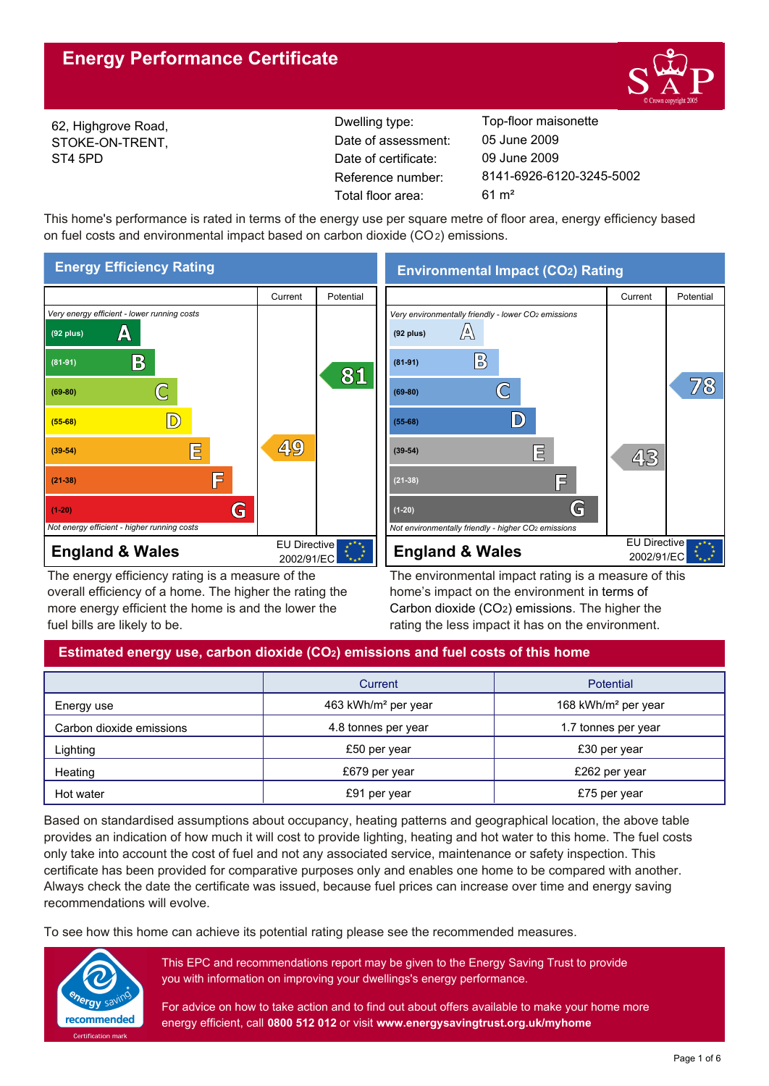

62, Highgrove Road, STOKE-ON-TRENT, ST4 5PD

Reference number: Date of certificate: Total floor area: 61 m² Date of assessment:

Dwelling type: Top-floor maisonette 8141-6926-6120-3245-5002 09 June 2009 05 June 2009

This home's performance is rated in terms of the energy use per square metre of floor area, energy efficiency based on fuel costs and environmental impact based on carbon dioxide (CO2) emissions.



The energy efficiency rating is a measure of the overall efficiency of a home. The higher the rating the more energy efficient the home is and the lower the fuel bills are likely to be.

The environmental impact rating is a measure of this home's impact on the environment in terms of Carbon dioxide (CO2) emissions. The higher the rating the less impact it has on the environment.

# **Estimated energy use, carbon dioxide (CO2) emissions and fuel costs of this home**

|                          | Current                         | <b>Potential</b>                |  |  |
|--------------------------|---------------------------------|---------------------------------|--|--|
| Energy use               | 463 kWh/m <sup>2</sup> per year | 168 kWh/m <sup>2</sup> per year |  |  |
| Carbon dioxide emissions | 4.8 tonnes per year             | 1.7 tonnes per year             |  |  |
| Lighting                 | £50 per year                    | £30 per year                    |  |  |
| Heating                  | £679 per year                   | £262 per year                   |  |  |
| Hot water                | £91 per year                    | £75 per year                    |  |  |

Based on standardised assumptions about occupancy, heating patterns and geographical location, the above table provides an indication of how much it will cost to provide lighting, heating and hot water to this home. The fuel costs only take into account the cost of fuel and not any associated service, maintenance or safety inspection. This certificate has been provided for comparative purposes only and enables one home to be compared with another. Always check the date the certificate was issued, because fuel prices can increase over time and energy saving recommendations will evolve.

To see how this home can achieve its potential rating please see the recommended measures.



This EPC and recommendations report may be given to the Energy Saving Trust to provide you with information on improving your dwellings's energy performance.

For advice on how to take action and to find out about offers available to make your home more energy efficient, call **0800 512 012** or visit **www.energysavingtrust.org.uk/myhome**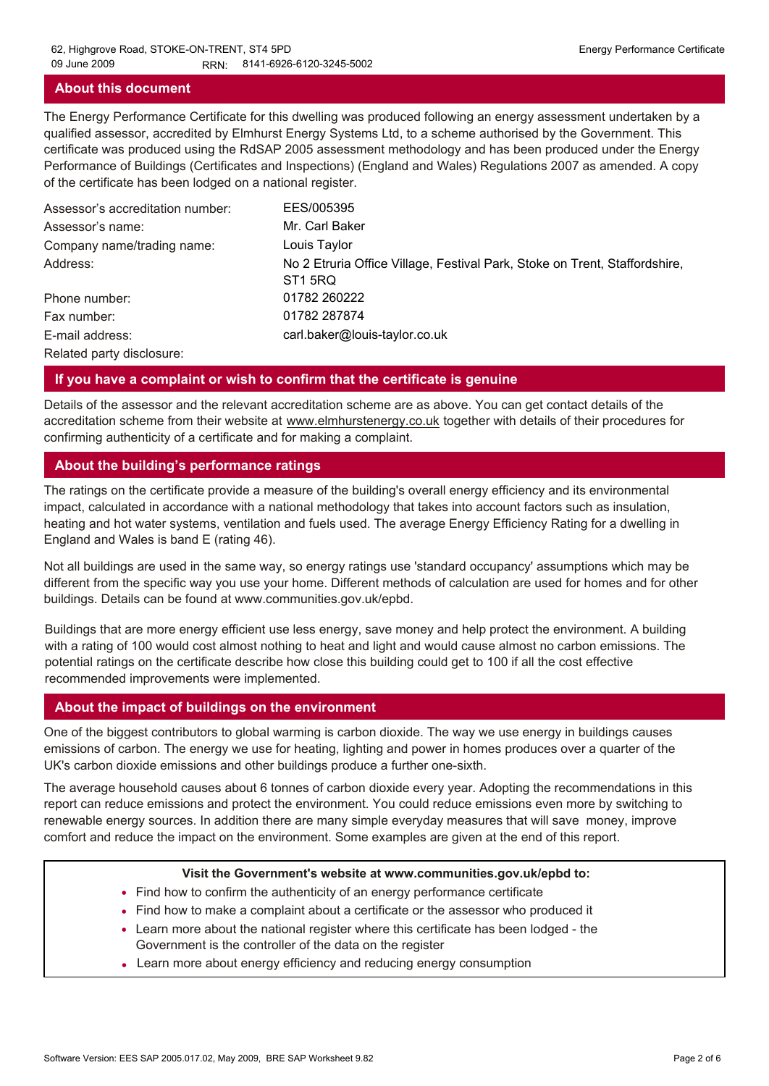## **About this document**

The Energy Performance Certificate for this dwelling was produced following an energy assessment undertaken by a qualified assessor, accredited by Elmhurst Energy Systems Ltd, to a scheme authorised by the Government. This certificate was produced using the RdSAP 2005 assessment methodology and has been produced under the Energy Performance of Buildings (Certificates and Inspections) (England and Wales) Regulations 2007 as amended. A copy of the certificate has been lodged on a national register.

| Assessor's accreditation number: | EES/005395                                                                                        |
|----------------------------------|---------------------------------------------------------------------------------------------------|
| Assessor's name:                 | Mr. Carl Baker                                                                                    |
| Company name/trading name:       | Louis Taylor                                                                                      |
| Address:                         | No 2 Etruria Office Village, Festival Park, Stoke on Trent, Staffordshire,<br>ST <sub>1</sub> 5RQ |
| Phone number:                    | 01782 260222                                                                                      |
| Fax number:                      | 01782 287874                                                                                      |
| E-mail address:                  | carl.baker@louis-taylor.co.uk                                                                     |
| Related party disclosure:        |                                                                                                   |

# **If you have a complaint or wish to confirm that the certificate is genuine**

Details of the assessor and the relevant accreditation scheme are as above. You can get contact details of the accreditation scheme from their website at www.elmhurstenergy.co.uk together with details of their procedures for confirming authenticity of a certificate and for making a complaint.

## **About the building's performance ratings**

The ratings on the certificate provide a measure of the building's overall energy efficiency and its environmental impact, calculated in accordance with a national methodology that takes into account factors such as insulation, heating and hot water systems, ventilation and fuels used. The average Energy Efficiency Rating for a dwelling in England and Wales is band E (rating 46).

Not all buildings are used in the same way, so energy ratings use 'standard occupancy' assumptions which may be different from the specific way you use your home. Different methods of calculation are used for homes and for other buildings. Details can be found at www.communities.gov.uk/epbd.

Buildings that are more energy efficient use less energy, save money and help protect the environment. A building with a rating of 100 would cost almost nothing to heat and light and would cause almost no carbon emissions. The potential ratings on the certificate describe how close this building could get to 100 if all the cost effective recommended improvements were implemented.

# **About the impact of buildings on the environment**

One of the biggest contributors to global warming is carbon dioxide. The way we use energy in buildings causes emissions of carbon. The energy we use for heating, lighting and power in homes produces over a quarter of the UK's carbon dioxide emissions and other buildings produce a further one-sixth.

The average household causes about 6 tonnes of carbon dioxide every year. Adopting the recommendations in this report can reduce emissions and protect the environment. You could reduce emissions even more by switching to renewable energy sources. In addition there are many simple everyday measures that will save money, improve comfort and reduce the impact on the environment. Some examples are given at the end of this report.

### **Visit the Government's website at www.communities.gov.uk/epbd to:**

- Find how to confirm the authenticity of an energy performance certificate
- Find how to make a complaint about a certificate or the assessor who produced it •
- Learn more about the national register where this certificate has been lodged the Government is the controller of the data on the register
- Learn more about energy efficiency and reducing energy consumption •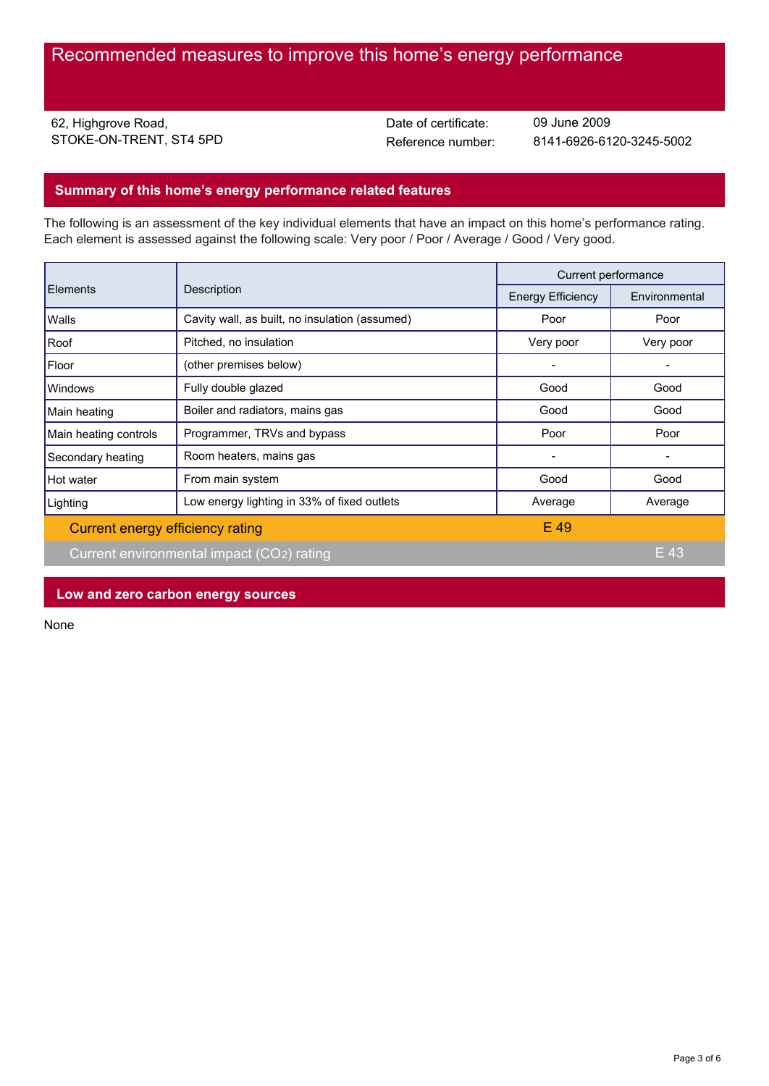62, Highgrove Road, STOKE-ON-TRENT, ST4 5PD Date of certificate:

Reference number: 8141-6926-6120-3245-5002 09 June 2009

# **Summary of this home's energy performance related features**

The following is an assessment of the key individual elements that have an impact on this home's performance rating. Each element is assessed against the following scale: Very poor / Poor / Average / Good / Very good.

| Elements                                  | Description                                    | Current performance      |               |
|-------------------------------------------|------------------------------------------------|--------------------------|---------------|
|                                           |                                                | <b>Energy Efficiency</b> | Environmental |
| Walls                                     | Cavity wall, as built, no insulation (assumed) | Poor                     | Poor          |
| Roof                                      | Pitched, no insulation                         | Very poor                | Very poor     |
| Floor                                     | (other premises below)                         |                          |               |
| <b>Windows</b>                            | Fully double glazed                            | Good                     | Good          |
| Main heating                              | Boiler and radiators, mains gas                | Good                     | Good          |
| Main heating controls                     | Programmer, TRVs and bypass                    | Poor                     | Poor          |
| Secondary heating                         | Room heaters, mains gas                        |                          |               |
| Hot water                                 | From main system                               | Good                     | Good          |
| Lighting                                  | Low energy lighting in 33% of fixed outlets    | Average                  | Average       |
| Current energy efficiency rating          |                                                | E 49                     |               |
| Current environmental impact (CO2) rating |                                                |                          | $E$ 43        |

# **Low and zero carbon energy sources**

None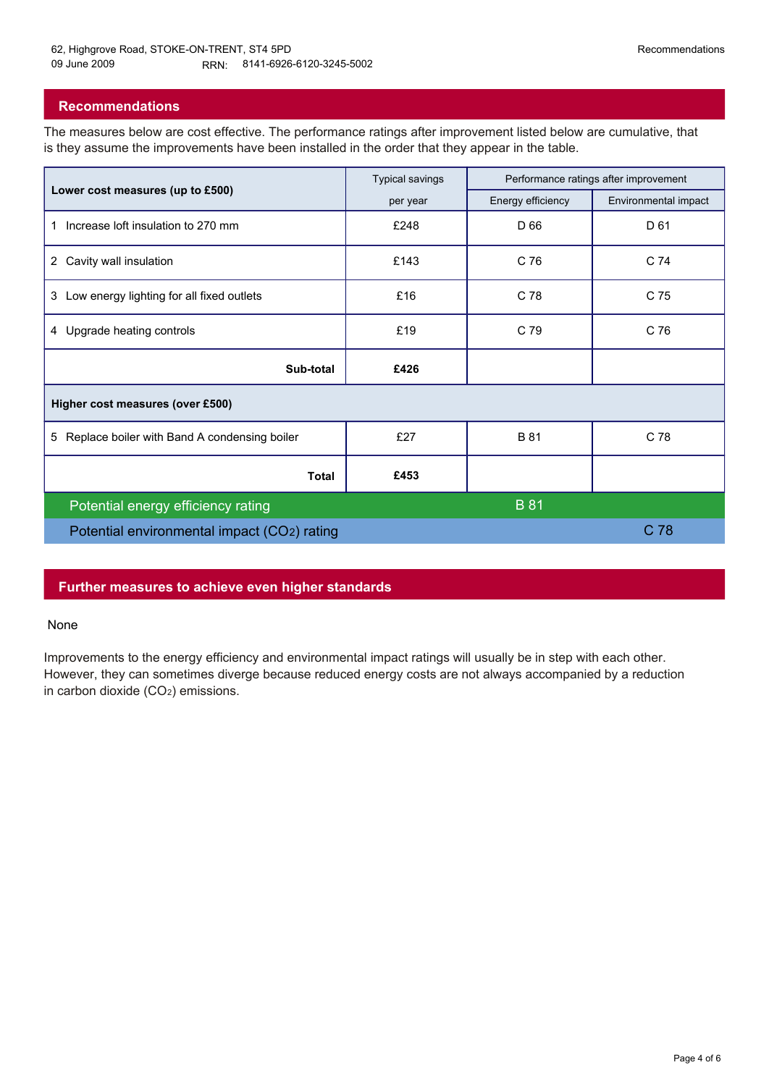# **Recommendations**

The measures below are cost effective. The performance ratings after improvement listed below are cumulative, that is they assume the improvements have been installed in the order that they appear in the table.

|                                                   | Typical savings | Performance ratings after improvement |                      |  |  |  |
|---------------------------------------------------|-----------------|---------------------------------------|----------------------|--|--|--|
| Lower cost measures (up to £500)                  | per year        | Energy efficiency                     | Environmental impact |  |  |  |
| Increase loft insulation to 270 mm<br>1           | £248            | D 66                                  | D 61                 |  |  |  |
| Cavity wall insulation<br>$\mathbf{2}$            | £143            | C 76                                  | C 74                 |  |  |  |
| Low energy lighting for all fixed outlets<br>3    | £16             | C 78                                  | C 75                 |  |  |  |
| 4 Upgrade heating controls                        | £19             | C 79                                  | C 76                 |  |  |  |
| Sub-total                                         | £426            |                                       |                      |  |  |  |
| Higher cost measures (over £500)                  |                 |                                       |                      |  |  |  |
| Replace boiler with Band A condensing boiler<br>5 | £27             | B 81                                  | C 78                 |  |  |  |
| <b>Total</b>                                      | £453            |                                       |                      |  |  |  |
| Potential energy efficiency rating                |                 | <b>B</b> 81                           |                      |  |  |  |
| Potential environmental impact (CO2) rating       |                 |                                       | C 78                 |  |  |  |

### **Further measures to achieve even higher standards**

### None

Improvements to the energy efficiency and environmental impact ratings will usually be in step with each other. However, they can sometimes diverge because reduced energy costs are not always accompanied by a reduction in carbon dioxide (CO2) emissions.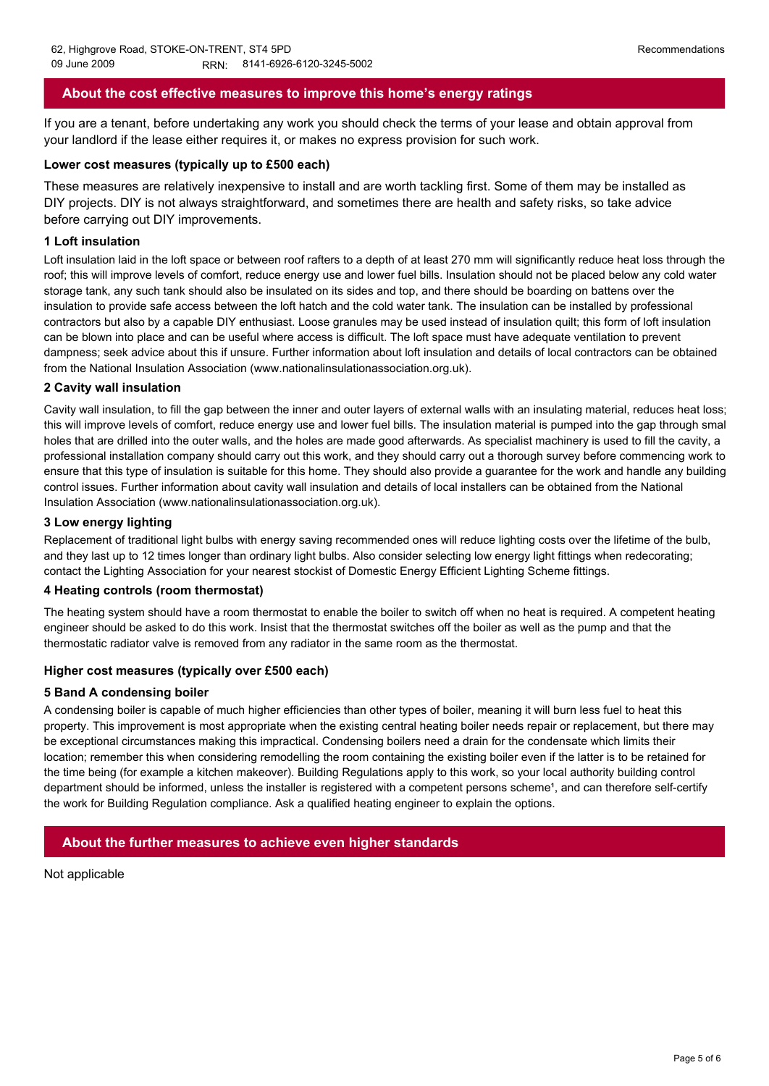## **About the cost effective measures to improve this home's energy ratings**

If you are a tenant, before undertaking any work you should check the terms of your lease and obtain approval from your landlord if the lease either requires it, or makes no express provision for such work.

### **Lower cost measures (typically up to £500 each)**

These measures are relatively inexpensive to install and are worth tackling first. Some of them may be installed as DIY projects. DIY is not always straightforward, and sometimes there are health and safety risks, so take advice before carrying out DIY improvements.

### **1 Loft insulation**

Loft insulation laid in the loft space or between roof rafters to a depth of at least 270 mm will significantly reduce heat loss through the roof; this will improve levels of comfort, reduce energy use and lower fuel bills. Insulation should not be placed below any cold water storage tank, any such tank should also be insulated on its sides and top, and there should be boarding on battens over the insulation to provide safe access between the loft hatch and the cold water tank. The insulation can be installed by professional contractors but also by a capable DIY enthusiast. Loose granules may be used instead of insulation quilt; this form of loft insulation can be blown into place and can be useful where access is difficult. The loft space must have adequate ventilation to prevent dampness; seek advice about this if unsure. Further information about loft insulation and details of local contractors can be obtained from the National Insulation Association (www.nationalinsulationassociation.org.uk).

#### **2 Cavity wall insulation**

Cavity wall insulation, to fill the gap between the inner and outer layers of external walls with an insulating material, reduces heat loss; this will improve levels of comfort, reduce energy use and lower fuel bills. The insulation material is pumped into the gap through small holes that are drilled into the outer walls, and the holes are made good afterwards. As specialist machinery is used to fill the cavity, a professional installation company should carry out this work, and they should carry out a thorough survey before commencing work to ensure that this type of insulation is suitable for this home. They should also provide a guarantee for the work and handle any building control issues. Further information about cavity wall insulation and details of local installers can be obtained from the National Insulation Association (www.nationalinsulationassociation.org.uk).

### **3 Low energy lighting**

Replacement of traditional light bulbs with energy saving recommended ones will reduce lighting costs over the lifetime of the bulb, and they last up to 12 times longer than ordinary light bulbs. Also consider selecting low energy light fittings when redecorating; contact the Lighting Association for your nearest stockist of Domestic Energy Efficient Lighting Scheme fittings.

### **4 Heating controls (room thermostat)**

The heating system should have a room thermostat to enable the boiler to switch off when no heat is required. A competent heating engineer should be asked to do this work. Insist that the thermostat switches off the boiler as well as the pump and that the thermostatic radiator valve is removed from any radiator in the same room as the thermostat.

### **Higher cost measures (typically over £500 each)**

#### **5 Band A condensing boiler**

A condensing boiler is capable of much higher efficiencies than other types of boiler, meaning it will burn less fuel to heat this property. This improvement is most appropriate when the existing central heating boiler needs repair or replacement, but there may be exceptional circumstances making this impractical. Condensing boilers need a drain for the condensate which limits their location; remember this when considering remodelling the room containing the existing boiler even if the latter is to be retained for the time being (for example a kitchen makeover). Building Regulations apply to this work, so your local authority building control department should be informed, unless the installer is registered with a competent persons scheme<sup>1</sup>, and can therefore self-certify the work for Building Regulation compliance. Ask a qualified heating engineer to explain the options.

## **About the further measures to achieve even higher standards**

Not applicable